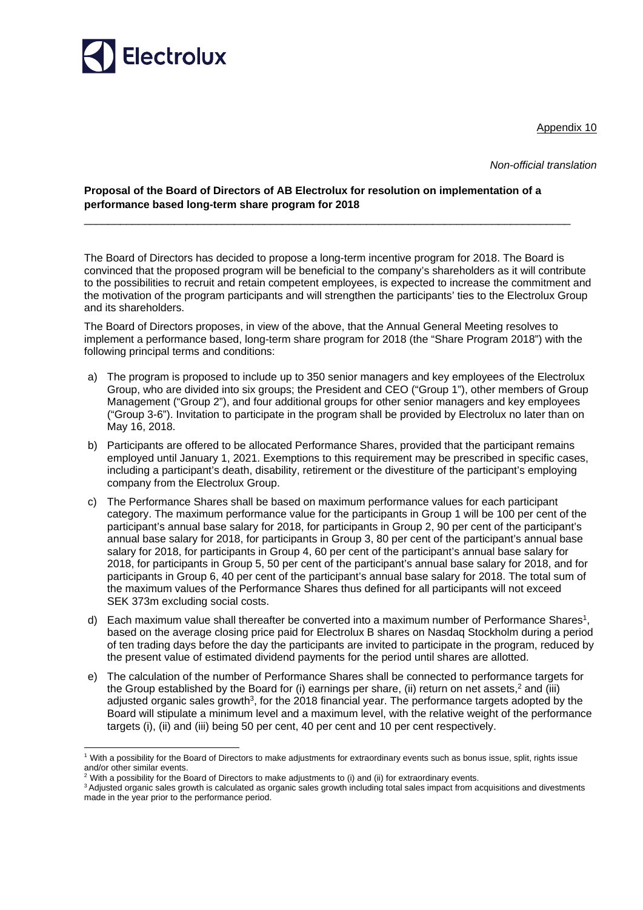

Appendix 10

*Non-official translation* 

### **Proposal of the Board of Directors of AB Electrolux for resolution on implementation of a performance based long-term share program for 2018**

\_\_\_\_\_\_\_\_\_\_\_\_\_\_\_\_\_\_\_\_\_\_\_\_\_\_\_\_\_\_\_\_\_\_\_\_\_\_\_\_\_\_\_\_\_\_\_\_\_\_\_\_\_\_\_\_\_\_\_\_\_\_\_\_\_\_\_\_\_\_\_\_\_\_\_\_\_\_\_\_\_

The Board of Directors has decided to propose a long-term incentive program for 2018. The Board is convinced that the proposed program will be beneficial to the company's shareholders as it will contribute to the possibilities to recruit and retain competent employees, is expected to increase the commitment and the motivation of the program participants and will strengthen the participants' ties to the Electrolux Group and its shareholders.

The Board of Directors proposes, in view of the above, that the Annual General Meeting resolves to implement a performance based, long-term share program for 2018 (the "Share Program 2018") with the following principal terms and conditions:

- a) The program is proposed to include up to 350 senior managers and key employees of the Electrolux Group, who are divided into six groups; the President and CEO ("Group 1"), other members of Group Management ("Group 2"), and four additional groups for other senior managers and key employees ("Group 3-6"). Invitation to participate in the program shall be provided by Electrolux no later than on May 16, 2018.
- b) Participants are offered to be allocated Performance Shares, provided that the participant remains employed until January 1, 2021. Exemptions to this requirement may be prescribed in specific cases, including a participant's death, disability, retirement or the divestiture of the participant's employing company from the Electrolux Group.
- c) The Performance Shares shall be based on maximum performance values for each participant category. The maximum performance value for the participants in Group 1 will be 100 per cent of the participant's annual base salary for 2018, for participants in Group 2, 90 per cent of the participant's annual base salary for 2018, for participants in Group 3, 80 per cent of the participant's annual base salary for 2018, for participants in Group 4, 60 per cent of the participant's annual base salary for 2018, for participants in Group 5, 50 per cent of the participant's annual base salary for 2018, and for participants in Group 6, 40 per cent of the participant's annual base salary for 2018. The total sum of the maximum values of the Performance Shares thus defined for all participants will not exceed SEK 373m excluding social costs.
- d) Each maximum value shall thereafter be converted into a maximum number of Performance Shares<sup>1</sup>, based on the average closing price paid for Electrolux B shares on Nasdaq Stockholm during a period of ten trading days before the day the participants are invited to participate in the program, reduced by the present value of estimated dividend payments for the period until shares are allotted.
- e) The calculation of the number of Performance Shares shall be connected to performance targets for the Group established by the Board for (i) earnings per share, (ii) return on net assets,<sup>2</sup> and (iii) adjusted organic sales growth<sup>3</sup>, for the 2018 financial year. The performance targets adopted by the Board will stipulate a minimum level and a maximum level, with the relative weight of the performance targets (i), (ii) and (iii) being 50 per cent, 40 per cent and 10 per cent respectively.

-

<sup>1</sup> With a possibility for the Board of Directors to make adjustments for extraordinary events such as bonus issue, split, rights issue and/or other similar events.

<sup>&</sup>lt;sup>2</sup> With a possibility for the Board of Directors to make adjustments to (i) and (ii) for extraordinary events.

<sup>&</sup>lt;sup>3</sup> Adjusted organic sales growth is calculated as organic sales growth including total sales impact from acquisitions and divestments made in the year prior to the performance period.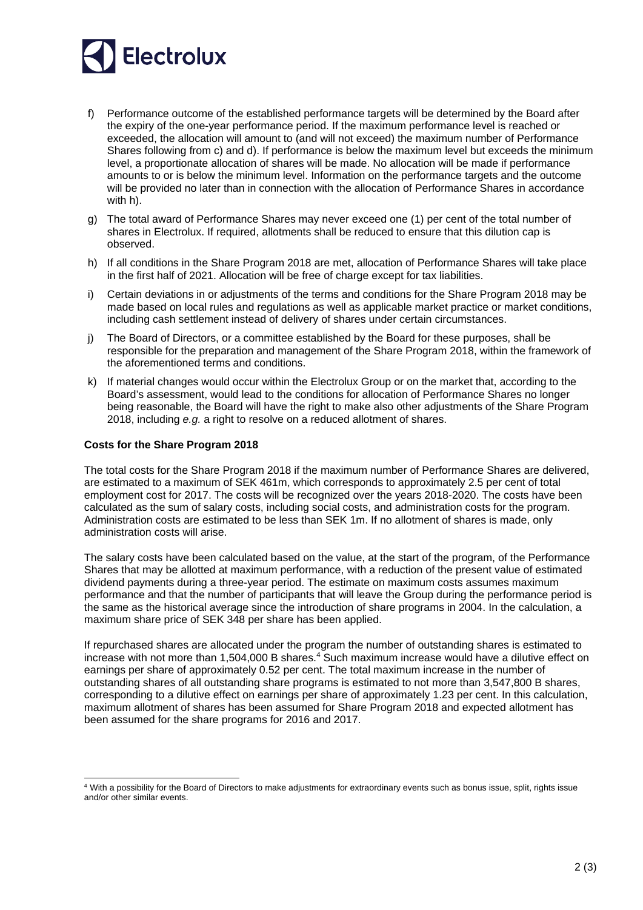# Electrolux

- f) Performance outcome of the established performance targets will be determined by the Board after the expiry of the one-year performance period. If the maximum performance level is reached or exceeded, the allocation will amount to (and will not exceed) the maximum number of Performance Shares following from c) and d). If performance is below the maximum level but exceeds the minimum level, a proportionate allocation of shares will be made. No allocation will be made if performance amounts to or is below the minimum level. Information on the performance targets and the outcome will be provided no later than in connection with the allocation of Performance Shares in accordance with h).
- g) The total award of Performance Shares may never exceed one (1) per cent of the total number of shares in Electrolux. If required, allotments shall be reduced to ensure that this dilution cap is observed.
- h) If all conditions in the Share Program 2018 are met, allocation of Performance Shares will take place in the first half of 2021. Allocation will be free of charge except for tax liabilities.
- i) Certain deviations in or adjustments of the terms and conditions for the Share Program 2018 may be made based on local rules and regulations as well as applicable market practice or market conditions, including cash settlement instead of delivery of shares under certain circumstances.
- j) The Board of Directors, or a committee established by the Board for these purposes, shall be responsible for the preparation and management of the Share Program 2018, within the framework of the aforementioned terms and conditions.
- k) If material changes would occur within the Electrolux Group or on the market that, according to the Board's assessment, would lead to the conditions for allocation of Performance Shares no longer being reasonable, the Board will have the right to make also other adjustments of the Share Program 2018, including *e.g.* a right to resolve on a reduced allotment of shares.

## **Costs for the Share Program 2018**

-

The total costs for the Share Program 2018 if the maximum number of Performance Shares are delivered, are estimated to a maximum of SEK 461m, which corresponds to approximately 2.5 per cent of total employment cost for 2017. The costs will be recognized over the years 2018-2020. The costs have been calculated as the sum of salary costs, including social costs, and administration costs for the program. Administration costs are estimated to be less than SEK 1m. If no allotment of shares is made, only administration costs will arise.

The salary costs have been calculated based on the value, at the start of the program, of the Performance Shares that may be allotted at maximum performance, with a reduction of the present value of estimated dividend payments during a three-year period. The estimate on maximum costs assumes maximum performance and that the number of participants that will leave the Group during the performance period is the same as the historical average since the introduction of share programs in 2004. In the calculation, a maximum share price of SEK 348 per share has been applied.

If repurchased shares are allocated under the program the number of outstanding shares is estimated to increase with not more than 1,504,000 B shares.<sup>4</sup> Such maximum increase would have a dilutive effect on earnings per share of approximately 0.52 per cent. The total maximum increase in the number of outstanding shares of all outstanding share programs is estimated to not more than 3,547,800 B shares, corresponding to a dilutive effect on earnings per share of approximately 1.23 per cent. In this calculation, maximum allotment of shares has been assumed for Share Program 2018 and expected allotment has been assumed for the share programs for 2016 and 2017.

<sup>&</sup>lt;sup>4</sup> With a possibility for the Board of Directors to make adjustments for extraordinary events such as bonus issue, split, rights issue and/or other similar events.